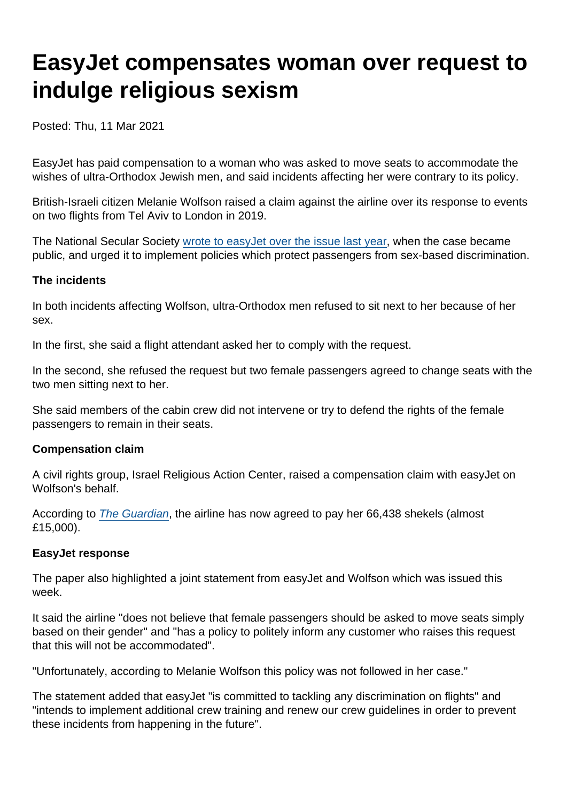# EasyJet compensates woman over request to indulge religious sexism

Posted: Thu, 11 Mar 2021

EasyJet has paid compensation to a woman who was asked to move seats to accommodate the wishes of ultra-Orthodox Jewish men, and said incidents affecting her were contrary to its policy.

British-Israeli citizen Melanie Wolfson raised a claim against the airline over its response to events on two flights from Tel Aviv to London in 2019.

The National Secular Society [wrote to easyJet over the issue last year](https://www.secularism.org.uk/news/2020/09/nss-urges-easyjet-to-protect-sex-equality-for-passengers), when the case became public, and urged it to implement policies which protect passengers from sex-based discrimination.

The incidents

In both incidents affecting Wolfson, ultra-Orthodox men refused to sit next to her because of her sex.

In the first, she said a flight attendant asked her to comply with the request.

In the second, she refused the request but two female passengers agreed to change seats with the two men sitting next to her.

She said members of the cabin crew did not intervene or try to defend the rights of the female passengers to remain in their seats.

Compensation claim

A civil rights group, Israel Religious Action Center, raised a compensation claim with easyJet on Wolfson's behalf.

According to [The Guardian](https://www.theguardian.com/world/2021/mar/10/easyjet-pays-compensation-to-woman-asked-to-move-by-ultra-orthodox-jewish-men), the airline has now agreed to pay her 66,438 shekels (almost £15,000).

EasyJet response

The paper also highlighted a joint statement from easyJet and Wolfson which was issued this week.

It said the airline "does not believe that female passengers should be asked to move seats simply based on their gender" and "has a policy to politely inform any customer who raises this request that this will not be accommodated".

"Unfortunately, according to Melanie Wolfson this policy was not followed in her case."

The statement added that easyJet "is committed to tackling any discrimination on flights" and "intends to implement additional crew training and renew our crew guidelines in order to prevent these incidents from happening in the future".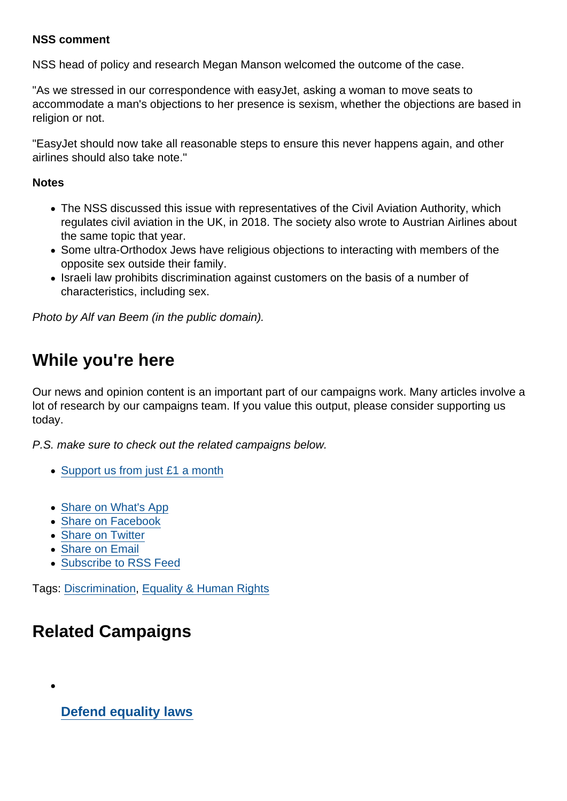#### NSS comment

NSS head of policy and research Megan Manson welcomed the outcome of the case.

"As we stressed in our correspondence with easyJet, asking a woman to move seats to accommodate a man's objections to her presence is sexism, whether the objections are based in religion or not.

"EasyJet should now take all reasonable steps to ensure this never happens again, and other airlines should also take note."

**Notes** 

- The NSS discussed this issue with representatives of the Civil Aviation Authority, which regulates civil aviation in the UK, in 2018. The society also wrote to Austrian Airlines about the same topic that year.
- Some ultra-Orthodox Jews have religious objections to interacting with members of the opposite sex outside their family.
- Israeli law prohibits discrimination against customers on the basis of a number of characteristics, including sex.

Photo by Alf van Beem (in the public domain).

## While you're here

Our news and opinion content is an important part of our campaigns work. Many articles involve a lot of research by our campaigns team. If you value this output, please consider supporting us today.

P.S. make sure to check out the related campaigns below.

- [Support us from just £1 a month](https://www.secularism.org.uk/donate.html)
- [Share on What's App](whatsapp://send?text=http://www.secularism.org.uk/news/2021/03/easyjet-payout-for-woman-over-request-to-accommodate-religious-sexism?format=pdf)
- [Share on Facebook](https://www.facebook.com/sharer/sharer.php?u=http://www.secularism.org.uk/news/2021/03/easyjet-payout-for-woman-over-request-to-accommodate-religious-sexism?format=pdf&t=EasyJet+compensates+woman+over+request+to+indulge+religious+sexism)
- [Share on Twitter](https://twitter.com/intent/tweet?url=http://www.secularism.org.uk/news/2021/03/easyjet-payout-for-woman-over-request-to-accommodate-religious-sexism?format=pdf&text=EasyJet+compensates+woman+over+request+to+indulge+religious+sexism&via=NatSecSoc)
- [Share on Email](https://www.secularism.org.uk/share.html?url=http://www.secularism.org.uk/news/2021/03/easyjet-payout-for-woman-over-request-to-accommodate-religious-sexism?format=pdf&title=EasyJet+compensates+woman+over+request+to+indulge+religious+sexism)
- [Subscribe to RSS Feed](/mnt/web-data/www/cp-nss/feeds/rss/news)

Tags: [Discrimination,](https://www.secularism.org.uk/news/tags/Discrimination) [Equality & Human Rights](https://www.secularism.org.uk/news/tags/Equality+&+Human+Rights)

# Related Campaigns

[Defend equality laws](https://www.secularism.org.uk/defend-equality-laws/)